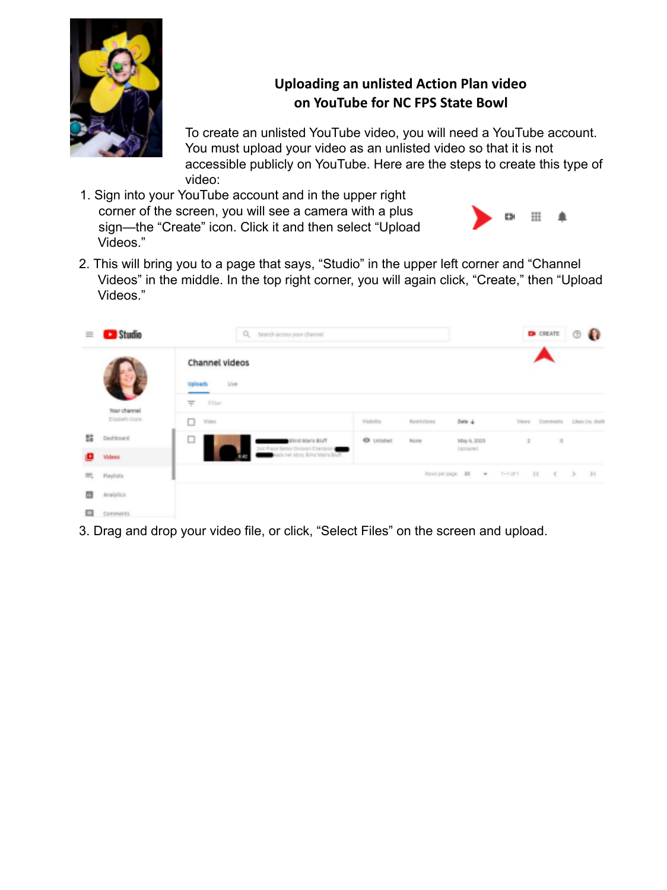

## **Uploading an unlisted Action Plan video on YouTube for NC FPS State Bowl**

To create an unlisted YouTube video, you will need a YouTube account. You must upload your video as an unlisted video so that it is not accessible publicly on YouTube. Here are the steps to create this type of video:

1. Sign into your YouTube account and in the upper right corner of the screen, you will see a camera with a plus sign—the "Create" icon. Click it and then select "Upload Videos."



2. This will bring you to a page that says, "Studio" in the upper left corner and "Channel Videos" in the middle. In the top right corner, you will again click, "Create," then "Upload Videos."

| $\equiv$ | Studio                                  | Q. search across your channel.                             |                   |                   |                         |                                |          |                                                                            |  |
|----------|-----------------------------------------|------------------------------------------------------------|-------------------|-------------------|-------------------------|--------------------------------|----------|----------------------------------------------------------------------------|--|
|          |                                         | Channel videos<br>Live:<br><b>Uplisads</b>                 |                   |                   |                         |                                |          |                                                                            |  |
|          | <b>Tour channel</b><br>Elizabeth Clorie | $=$<br>Filter<br>0<br>Wolen                                | Volvilly          | Restrictions      | Date +                  |                                |          | Views Comments Likes (vs. clolik                                           |  |
| 闘        | Dashboard                               | □<br>Fluiti ainsM bnitik<br>2nd Place Senior Division Chan | <b>O</b> Unlisted | None              | May 6, 2022<br>Uploaded | $\frac{1}{2}$                  | $\alpha$ |                                                                            |  |
| o        | Videos                                  | da her atory, Brind Maris Bluff.                           |                   |                   |                         |                                |          |                                                                            |  |
| $= -$    | Playlists                               |                                                            |                   | Rows per page: 30 | $\scriptstyle\star$     | $1 - 1$ of 1<br>$\mathbb{R}^d$ |          | $\begin{array}{ccccccccc} \langle & & \rangle & & \rangle & & \end{array}$ |  |
| ▥        | Analytics                               |                                                            |                   |                   |                         |                                |          |                                                                            |  |
| □        | Comments                                |                                                            |                   |                   |                         |                                |          |                                                                            |  |

3. Drag and drop your video file, or click, "Select Files" on the screen and upload.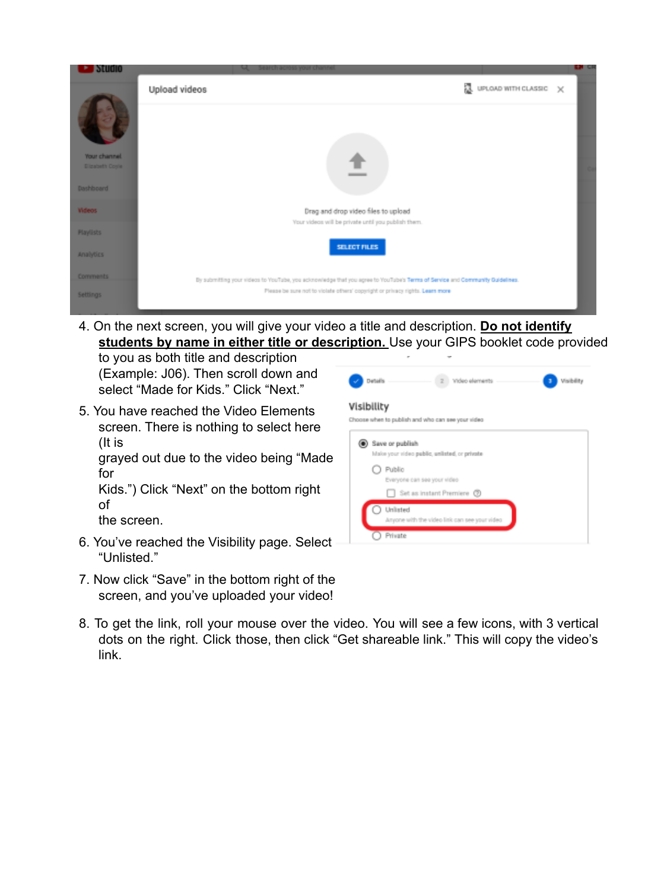

4. On the next screen, you will give your video a title and description. **Do not identify students by name in either title or description.** Use your GIPS booklet code provided

to you as both title and description (Example: J06). Then scroll down and select "Made for Kids." Click "Next."

- 5. You have reached the Video Elements screen. There is nothing to select here (It is grayed out due to the video being "Made for Kids.") Click "Next" on the bottom right of the screen.
- 6. You've reached the Visibility page. Select "Unlisted."
- 7. Now click "Save" in the bottom right of the screen, and you've uploaded your video!



8. To get the link, roll your mouse over the video. You will see a few icons, with 3 vertical dots on the right. Click those, then click "Get shareable link." This will copy the video's link.